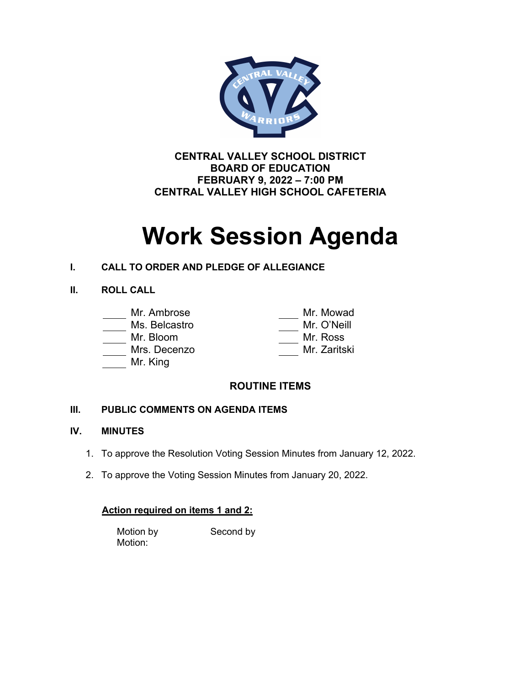

**CENTRAL VALLEY SCHOOL DISTRICT BOARD OF EDUCATION FEBRUARY 9, 2022 – 7:00 PM CENTRAL VALLEY HIGH SCHOOL CAFETERIA**

# **Work Session Agenda**

# **I. CALL TO ORDER AND PLEDGE OF ALLEGIANCE**

## **II. ROLL CALL**

# Mr. Ambrose Mr. Mowad

#### Ms. Belcastro

Mr. Bloom

Mrs. Decenzo

Mr. King

| ivii . iviowau |
|----------------|
| Mr. O'Neill    |
| Mr. Ross       |
| Mr. Zaritski   |
|                |

# **ROUTINE ITEMS**

# **III. PUBLIC COMMENTS ON AGENDA ITEMS**

### **IV. MINUTES**

- 1. To approve the Resolution Voting Session Minutes from January 12, 2022.
- 2. To approve the Voting Session Minutes from January 20, 2022.

### **Action required on items 1 and 2:**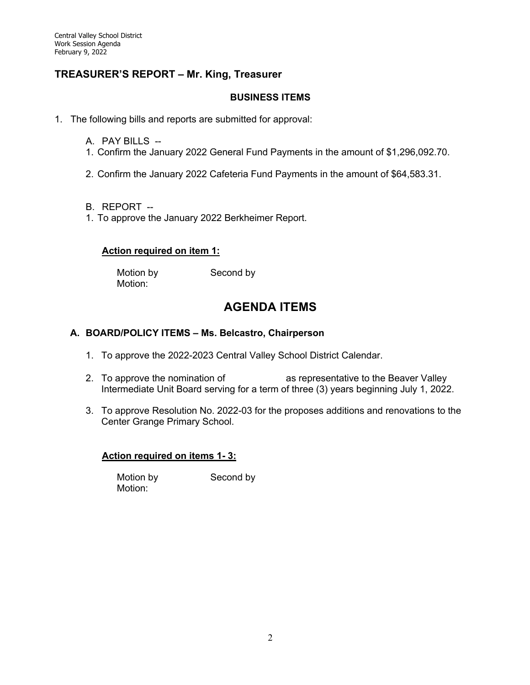### **TREASURER'S REPORT – Mr. King, Treasurer**

#### **BUSINESS ITEMS**

- 1. The following bills and reports are submitted for approval:
	- A. PAY BILLS --
	- 1. Confirm the January 2022 General Fund Payments in the amount of \$1,296,092.70.
	- 2. Confirm the January 2022 Cafeteria Fund Payments in the amount of \$64,583.31.
	- B. REPORT --
	- 1. To approve the January 2022 Berkheimer Report.

#### **Action required on item 1:**

Motion by Second by Motion:

# **AGENDA ITEMS**

#### **A. BOARD/POLICY ITEMS – Ms. Belcastro, Chairperson**

- 1. To approve the 2022-2023 Central Valley School District Calendar.
- 2. To approve the nomination of and as representative to the Beaver Valley Intermediate Unit Board serving for a term of three (3) years beginning July 1, 2022.
- 3. To approve Resolution No. 2022-03 for the proposes additions and renovations to the Center Grange Primary School.

#### **Action required on items 1- 3:**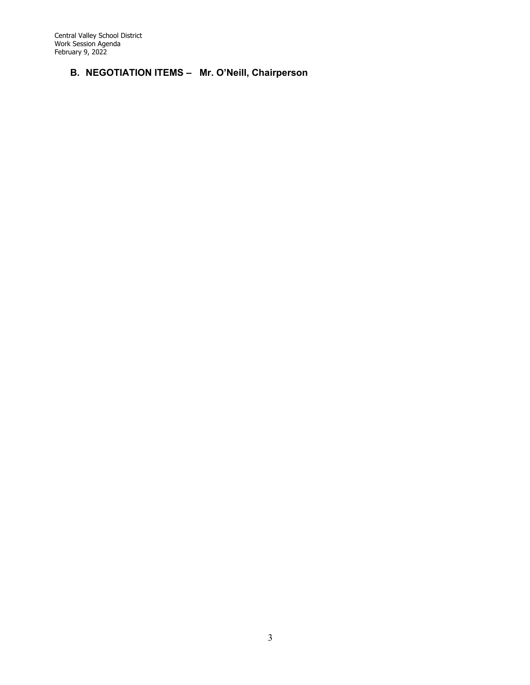Central Valley School District Work Session Agenda February 9, 2022

# **B. NEGOTIATION ITEMS – Mr. O'Neill, Chairperson**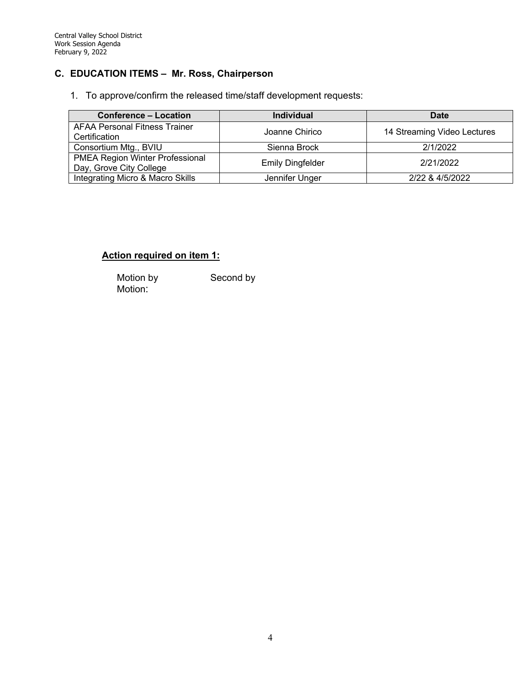# **C. EDUCATION ITEMS – Mr. Ross, Chairperson**

1. To approve/confirm the released time/staff development requests:

| <b>Conference – Location</b>                               | <b>Individual</b>       | Date                        |
|------------------------------------------------------------|-------------------------|-----------------------------|
| <b>AFAA Personal Fitness Trainer</b><br>Certification      | Joanne Chirico          | 14 Streaming Video Lectures |
| Consortium Mtg., BVIU                                      | Sienna Brock            | 2/1/2022                    |
| PMEA Region Winter Professional<br>Day, Grove City College | <b>Emily Dingfelder</b> | 2/21/2022                   |
| Integrating Micro & Macro Skills                           | Jennifer Unger          | 2/22 & 4/5/2022             |

## **Action required on item 1:**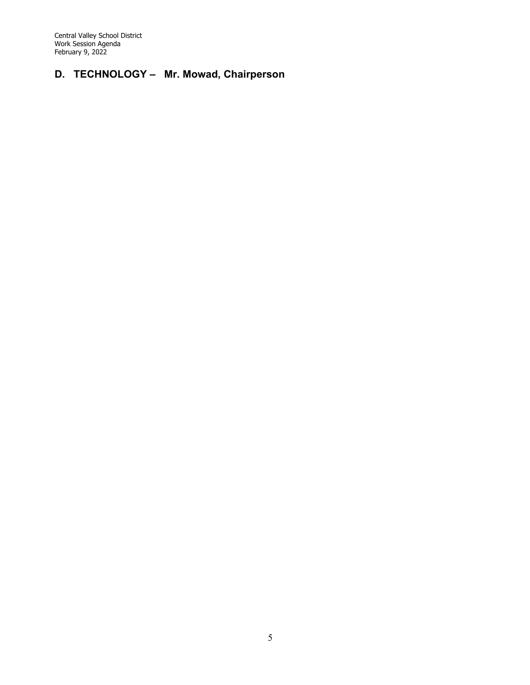Central Valley School District Work Session Agenda February 9, 2022

# **D. TECHNOLOGY – Mr. Mowad, Chairperson**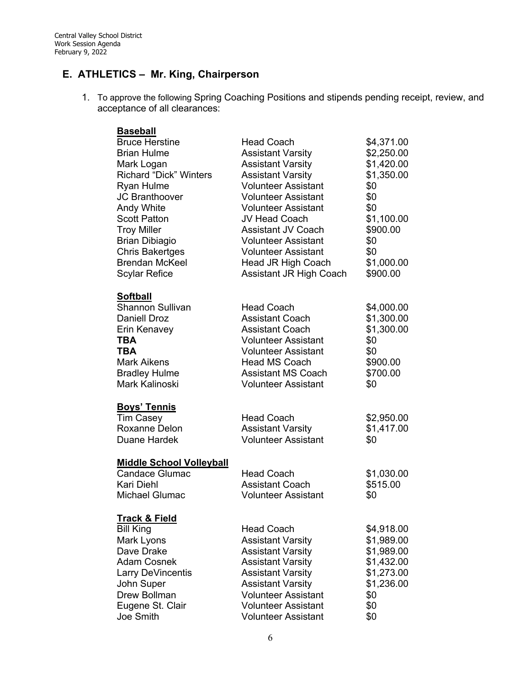# **E. ATHLETICS – Mr. King, Chairperson**

1. To approve the following Spring Coaching Positions and stipends pending receipt, review, and acceptance of all clearances:

| <b>Baseball</b>                 |                                |            |
|---------------------------------|--------------------------------|------------|
| <b>Bruce Herstine</b>           | <b>Head Coach</b>              | \$4,371.00 |
| <b>Brian Hulme</b>              | <b>Assistant Varsity</b>       | \$2,250.00 |
| Mark Logan                      | <b>Assistant Varsity</b>       | \$1,420.00 |
| <b>Richard "Dick" Winters</b>   | <b>Assistant Varsity</b>       | \$1,350.00 |
| Ryan Hulme                      | <b>Volunteer Assistant</b>     | \$0        |
| <b>JC Branthoover</b>           | <b>Volunteer Assistant</b>     | \$0        |
| Andy White                      | <b>Volunteer Assistant</b>     | \$0        |
| <b>Scott Patton</b>             | <b>JV Head Coach</b>           | \$1,100.00 |
| <b>Troy Miller</b>              | <b>Assistant JV Coach</b>      | \$900.00   |
| <b>Brian Dibiagio</b>           | <b>Volunteer Assistant</b>     | \$0        |
| <b>Chris Bakertges</b>          | <b>Volunteer Assistant</b>     | \$0        |
| <b>Brendan McKeel</b>           | Head JR High Coach             | \$1,000.00 |
| <b>Scylar Refice</b>            | <b>Assistant JR High Coach</b> | \$900.00   |
| <b>Softball</b>                 |                                |            |
| <b>Shannon Sullivan</b>         | <b>Head Coach</b>              | \$4,000.00 |
| <b>Daniell Droz</b>             | <b>Assistant Coach</b>         | \$1,300.00 |
| Erin Kenavey                    | <b>Assistant Coach</b>         | \$1,300.00 |
| TBA                             | <b>Volunteer Assistant</b>     | \$0        |
| <b>TBA</b>                      | <b>Volunteer Assistant</b>     | \$0        |
| Mark Aikens                     | <b>Head MS Coach</b>           | \$900.00   |
| <b>Bradley Hulme</b>            | <b>Assistant MS Coach</b>      | \$700.00   |
| Mark Kalinoski                  | <b>Volunteer Assistant</b>     | \$0        |
| <u>Boys' Tennis</u>             |                                |            |
| <b>Tim Casey</b>                | <b>Head Coach</b>              | \$2,950.00 |
| Roxanne Delon                   | <b>Assistant Varsity</b>       | \$1,417.00 |
| Duane Hardek                    | <b>Volunteer Assistant</b>     | \$0        |
| <b>Middle School Volleyball</b> |                                |            |
| <b>Candace Glumac</b>           | <b>Head Coach</b>              | \$1,030.00 |
| Kari Diehl                      | <b>Assistant Coach</b>         | \$515.00   |
| Michael Glumac                  | <b>Volunteer Assistant</b>     | \$0        |
| <b>Track &amp; Field</b>        |                                |            |
| <b>Bill King</b>                | <b>Head Coach</b>              | \$4,918.00 |
| Mark Lyons                      | <b>Assistant Varsity</b>       | \$1,989.00 |
| Dave Drake                      | <b>Assistant Varsity</b>       | \$1,989.00 |
| <b>Adam Cosnek</b>              | <b>Assistant Varsity</b>       | \$1,432.00 |
| Larry DeVincentis               | <b>Assistant Varsity</b>       | \$1,273.00 |
| John Super                      | <b>Assistant Varsity</b>       | \$1,236.00 |
| Drew Bollman                    | <b>Volunteer Assistant</b>     | \$0        |
| Eugene St. Clair                | <b>Volunteer Assistant</b>     | \$0        |
| Joe Smith                       | <b>Volunteer Assistant</b>     | \$0        |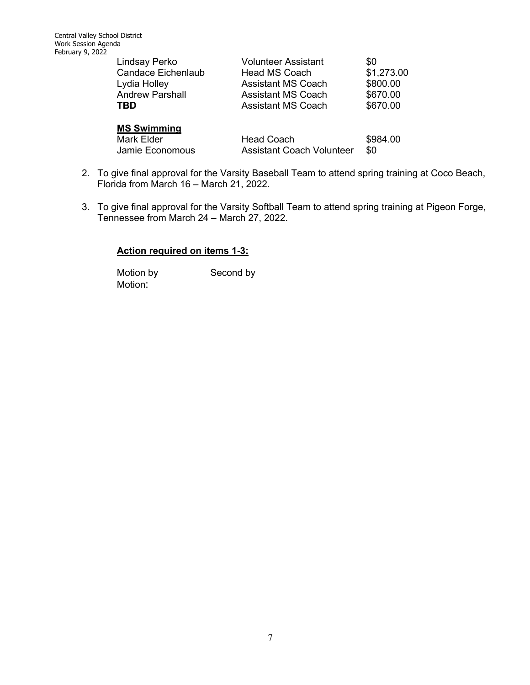| Lindsay Perko                           | <b>Volunteer Assistant</b> | \$0        |
|-----------------------------------------|----------------------------|------------|
| <b>Candace Eichenlaub</b>               | <b>Head MS Coach</b>       | \$1,273.00 |
| Lydia Holley                            | <b>Assistant MS Coach</b>  | \$800.00   |
| <b>Andrew Parshall</b>                  | <b>Assistant MS Coach</b>  | \$670.00   |
| TBD                                     | <b>Assistant MS Coach</b>  | \$670.00   |
| <b>MS Swimming</b><br><b>Mark Elder</b> | <b>Head Coach</b>          | \$984.00   |

Jamie Economous Assistant Coach Volunteer \$0

- 2. To give final approval for the Varsity Baseball Team to attend spring training at Coco Beach, Florida from March 16 – March 21, 2022.
- 3. To give final approval for the Varsity Softball Team to attend spring training at Pigeon Forge, Tennessee from March 24 – March 27, 2022.

#### **Action required on items 1-3:**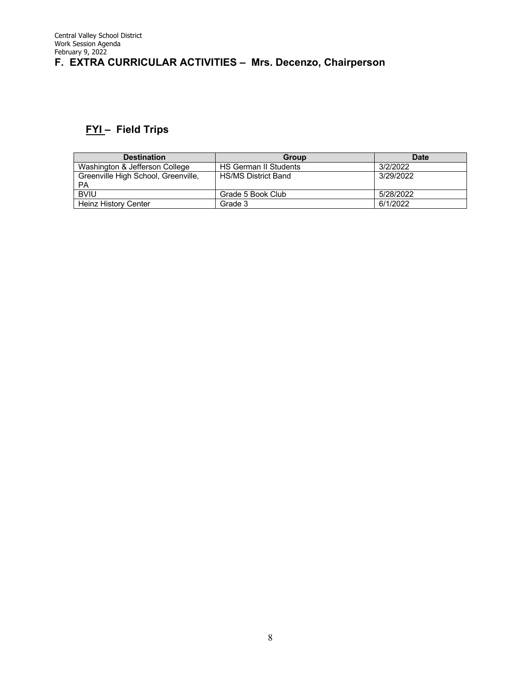# **FYI – Field Trips**

| <b>Destination</b>                               | Group                        | <b>Date</b> |
|--------------------------------------------------|------------------------------|-------------|
| Washington & Jefferson College                   | <b>HS German II Students</b> | 3/2/2022    |
| Greenville High School, Greenville,<br><b>PA</b> | <b>HS/MS District Band</b>   | 3/29/2022   |
| <b>BVIU</b>                                      | Grade 5 Book Club            | 5/28/2022   |
| Heinz History Center                             | Grade 3                      | 6/1/2022    |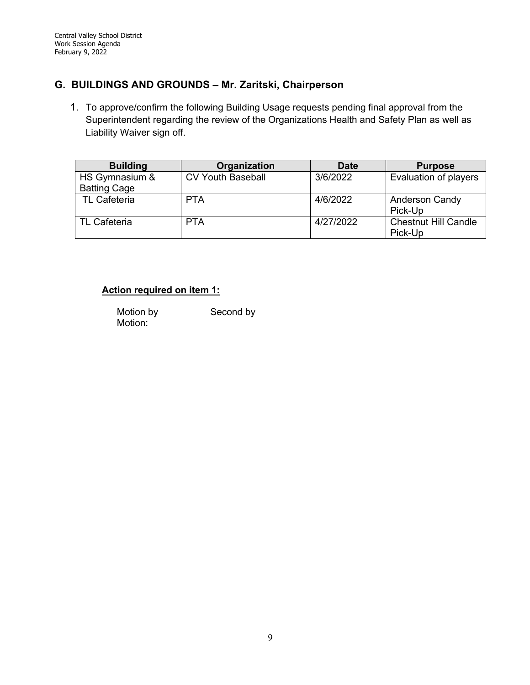# **G. BUILDINGS AND GROUNDS – Mr. Zaritski, Chairperson**

1. To approve/confirm the following Building Usage requests pending final approval from the Superintendent regarding the review of the Organizations Health and Safety Plan as well as Liability Waiver sign off.

| <b>Building</b>                       | Organization             | <b>Date</b> | <b>Purpose</b>                         |
|---------------------------------------|--------------------------|-------------|----------------------------------------|
| HS Gymnasium &<br><b>Batting Cage</b> | <b>CV Youth Baseball</b> | 3/6/2022    | Evaluation of players                  |
| <b>TL Cafeteria</b>                   | <b>PTA</b>               | 4/6/2022    | <b>Anderson Candy</b><br>Pick-Up       |
| <b>TL Cafeteria</b>                   | <b>PTA</b>               | 4/27/2022   | <b>Chestnut Hill Candle</b><br>Pick-Up |

## **Action required on item 1:**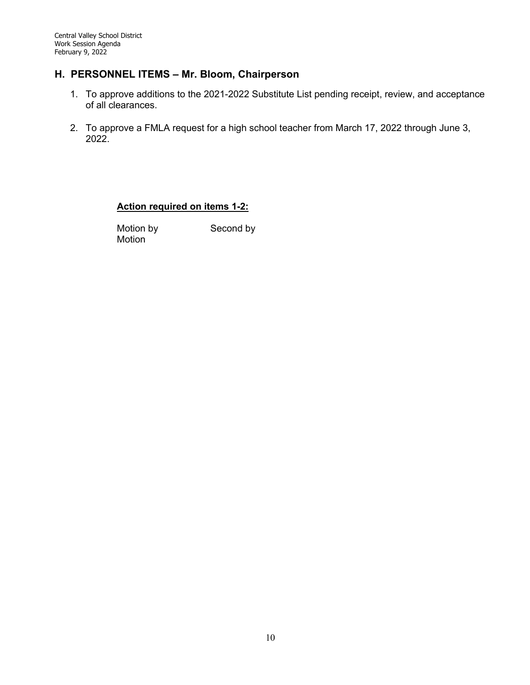# **H. PERSONNEL ITEMS – Mr. Bloom, Chairperson**

- 1. To approve additions to the 2021-2022 Substitute List pending receipt, review, and acceptance of all clearances.
- 2. To approve a FMLA request for a high school teacher from March 17, 2022 through June 3, 2022.

#### **Action required on items 1-2:**